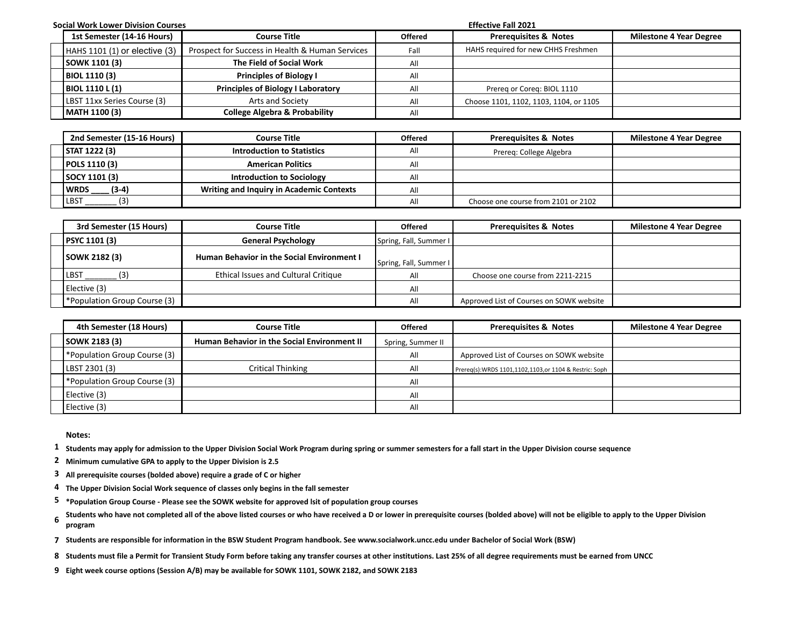| <b>Social Work Lower Division Courses</b> |                                   |                                                 |                | <b>Effective Fall 2021</b>             |                                |  |
|-------------------------------------------|-----------------------------------|-------------------------------------------------|----------------|----------------------------------------|--------------------------------|--|
|                                           | 1st Semester (14-16 Hours)        | <b>Course Title</b>                             | <b>Offered</b> | <b>Prerequisites &amp; Notes</b>       | <b>Milestone 4 Year Degree</b> |  |
|                                           | $HAHS 1101 (1)$ or elective $(3)$ | Prospect for Success in Health & Human Services | Fall           | HAHS required for new CHHS Freshmen    |                                |  |
|                                           | <b>SOWK 1101 (3)</b>              | The Field of Social Work                        | All            |                                        |                                |  |
|                                           | <b>BIOL 1110 (3)</b>              | <b>Principles of Biology I</b>                  | All            |                                        |                                |  |
|                                           | BIOL 1110 L (1)                   | <b>Principles of Biology I Laboratory</b>       | All            | Prereg or Coreg: BIOL 1110             |                                |  |
|                                           | LBST 11xx Series Course (3)       | Arts and Society                                | All            | Choose 1101, 1102, 1103, 1104, or 1105 |                                |  |
|                                           | MATH 1100 (3)                     | <b>College Algebra &amp; Probability</b>        | All            |                                        |                                |  |

| 2nd Semester (15-16 Hours) | <b>Course Title</b>                             | <b>Offered</b> | <b>Prerequisites &amp; Notes</b>    | <b>Milestone 4 Year Degree</b> |
|----------------------------|-------------------------------------------------|----------------|-------------------------------------|--------------------------------|
| STAT 1222 (3)              | <b>Introduction to Statistics</b>               | All            | Prereg: College Algebra             |                                |
| <b>POLS 1110 (3)</b>       | <b>American Politics</b>                        | All            |                                     |                                |
| SOCY 1101 (3)              | <b>Introduction to Sociology</b>                | All            |                                     |                                |
| $(3-4)$<br>WRDS            | <b>Writing and Inquiry in Academic Contexts</b> | All            |                                     |                                |
| <u>้ CI</u><br><b>LBST</b> |                                                 | All            | Choose one course from 2101 or 2102 |                                |

| 3rd Semester (15 Hours)      | <b>Course Title</b>                               | <b>Offered</b>         | <b>Prerequisites &amp; Notes</b>         | <b>Milestone 4 Year Degree</b> |
|------------------------------|---------------------------------------------------|------------------------|------------------------------------------|--------------------------------|
| <b>PSYC 1101 (3)</b>         | <b>General Psychology</b>                         | Spring, Fall, Summer I |                                          |                                |
| SOWK 2182 (3)                | <b>Human Behavior in the Social Environment I</b> | Spring, Fall, Summer I |                                          |                                |
| LBST                         | Ethical Issues and Cultural Critique              | All                    | Choose one course from 2211-2215         |                                |
| Elective (3)                 |                                                   | All                    |                                          |                                |
| *Population Group Course (3) |                                                   | All                    | Approved List of Courses on SOWK website |                                |

| 4th Semester (18 Hours)      | Course Title                                       | <b>Offered</b>    | <b>Prerequisites &amp; Notes</b>                          | <b>Milestone 4 Year Degree</b> |
|------------------------------|----------------------------------------------------|-------------------|-----------------------------------------------------------|--------------------------------|
| SOWK 2183 (3)                | <b>Human Behavior in the Social Environment II</b> | Spring, Summer II |                                                           |                                |
| *Population Group Course (3) |                                                    | All               | Approved List of Courses on SOWK website                  |                                |
| LBST 2301 (3)                | Critical Thinking                                  | All               | Prereg(s): WRDS 1101, 1102, 1103, or 1104 & Restric: Soph |                                |
| *Population Group Course (3) |                                                    | All               |                                                           |                                |
| Elective (3)                 |                                                    | All               |                                                           |                                |
| Elective (3)                 |                                                    | All               |                                                           |                                |

**Notes:**

**1 Students may apply for admission to the Upper Division Social Work Program during spring or summer semesters for a fall start in the Upper Division course sequence**

**2 Minimum cumulative GPA to apply to the Upper Division is 2.5**

**3 All prerequisite courses (bolded above) require a grade of C or higher**

- **4 The Upper Division Social Work sequence of classes only begins in the fall semester**
- **5 \*Population Group Course Please see the SOWK website for approved lsit of population group courses**
- Students who have not completed all of the above listed courses or who have received a D or lower in prerequisite courses (bolded above) will not be eligible to apply to the Upper Division **be eligible to apply to the Uppe program**
- **7 Students are responsible for information in the BSW Student Program handbook. See www.socialwork.uncc.edu under Bachelor of Social Work (BSW)**
- **8 Students must file a Permit for Transient Study Form before taking any transfer courses at other institutions. Last 25% of all degree requirements must be earned from UNCC**

**9 Eight week course options (Session A/B) may be available for SOWK 1101, SOWK 2182, and SOWK 2183**